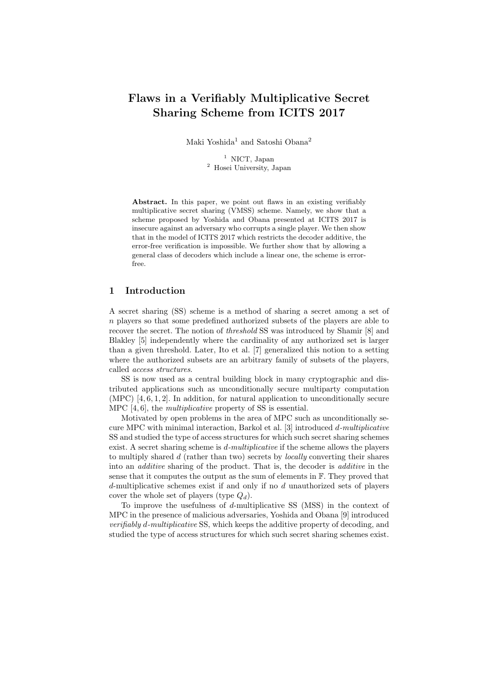# **Flaws in a Verifiably Multiplicative Secret Sharing Scheme from ICITS 2017**

Maki Yoshida<sup>1</sup> and Satoshi Obana<sup>2</sup>

<sup>1</sup> NICT, Japan <sup>2</sup> Hosei University, Japan

**Abstract.** In this paper, we point out flaws in an existing verifiably multiplicative secret sharing (VMSS) scheme. Namely, we show that a scheme proposed by Yoshida and Obana presented at ICITS 2017 is insecure against an adversary who corrupts a single player. We then show that in the model of ICITS 2017 which restricts the decoder additive, the error-free verification is impossible. We further show that by allowing a general class of decoders which include a linear one, the scheme is errorfree.

### **1 Introduction**

A secret sharing (SS) scheme is a method of sharing a secret among a set of *n* players so that some predefined authorized subsets of the players are able to recover the secret. The notion of *threshold* SS was introduced by Shamir [8] and Blakley [5] independently where the cardinality of any authorized set is larger than a given threshold. Later, Ito et al. [7] generalized this notion to a setting where the authorized subsets are an arbitrary family of subsets of the players, called *access structures*.

SS is now used as a central building block in many cryptographic and distributed applications such as unconditionally secure multiparty computation (MPC) [4, 6, 1, 2]. In addition, for natural application to unconditionally secure MPC [4, 6], the *multiplicative* property of SS is essential.

Motivated by open problems in the area of MPC such as unconditionally secure MPC with minimal interaction, Barkol et al. [3] introduced *d-multiplicative* SS and studied the type of access structures for which such secret sharing schemes exist. A secret sharing scheme is *d-multiplicative* if the scheme allows the players to multiply shared *d* (rather than two) secrets by *locally* converting their shares into an *additive* sharing of the product. That is, the decoder is *additive* in the sense that it computes the output as the sum of elements in F. They proved that *d*-multiplicative schemes exist if and only if no *d* unauthorized sets of players cover the whole set of players (type *Qd*).

To improve the usefulness of *d*-multiplicative SS (MSS) in the context of MPC in the presence of malicious adversaries, Yoshida and Obana [9] introduced *verifiably d-multiplicative* SS, which keeps the additive property of decoding, and studied the type of access structures for which such secret sharing schemes exist.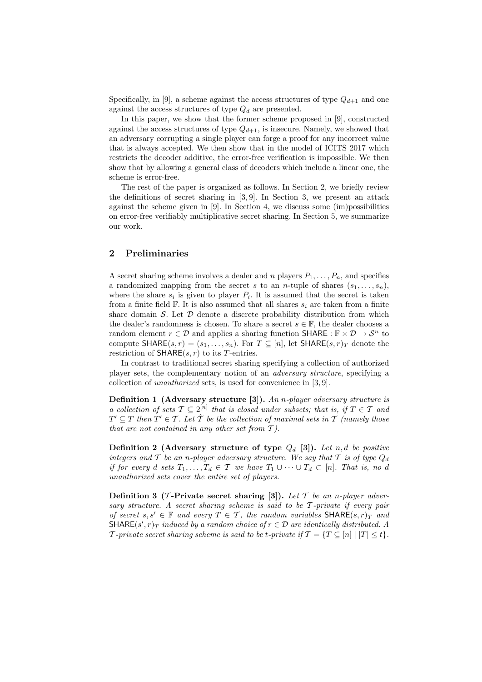Specifically, in [9], a scheme against the access structures of type  $Q_{d+1}$  and one against the access structures of type *Q<sup>d</sup>* are presented.

In this paper, we show that the former scheme proposed in [9], constructed against the access structures of type  $Q_{d+1}$ , is insecure. Namely, we showed that an adversary corrupting a single player can forge a proof for any incorrect value that is always accepted. We then show that in the model of ICITS 2017 which restricts the decoder additive, the error-free verification is impossible. We then show that by allowing a general class of decoders which include a linear one, the scheme is error-free.

The rest of the paper is organized as follows. In Section 2, we briefly review the definitions of secret sharing in [3, 9]. In Section 3, we present an attack against the scheme given in  $[9]$ . In Section 4, we discuss some  $(im)$  possibilities on error-free verifiably multiplicative secret sharing. In Section 5, we summarize our work.

### **2 Preliminaries**

A secret sharing scheme involves a dealer and *n* players  $P_1, \ldots, P_n$ , and specifies a randomized mapping from the secret *s* to an *n*-tuple of shares  $(s_1, \ldots, s_n)$ , where the share  $s_i$  is given to player  $P_i$ . It is assumed that the secret is taken from a finite field  $\mathbb{F}$ . It is also assumed that all shares  $s_i$  are taken from a finite share domain  $S$ . Let  $D$  denote a discrete probability distribution from which the dealer's randomness is chosen. To share a secret  $s \in \mathbb{F}$ , the dealer chooses a random element  $r \in \mathcal{D}$  and applies a sharing function SHARE :  $\mathbb{F} \times \mathcal{D} \to \mathcal{S}^n$  to compute  $\text{SHARE}(s, r) = (s_1, \ldots, s_n)$ . For  $T \subseteq [n]$ , let  $\text{SHARE}(s, r)_T$  denote the restriction of  $SHARE(s, r)$  to its *T*-entries.

In contrast to traditional secret sharing specifying a collection of authorized player sets, the complementary notion of an *adversary structure*, specifying a collection of *unauthorized* sets, is used for convenience in [3, 9].

**Definition 1 (Adversary structure [3]).** *An n-player adversary structure is a collection of sets*  $\mathcal{T} \subseteq 2^{[n]}$  that is closed under subsets; that is, if  $T \in \mathcal{T}$  and  $T' \subseteq T$  *then*  $T' \in T$ *. Let*  $\hat{T}$  *be the collection of maximal sets in*  $T$  *(namely those that are not contained in any other set from T ).*

**Definition 2 (Adversary structure of type** *Q<sup>d</sup>* **[3]).** *Let n, d be positive integers and*  $\mathcal T$  *be an n-player adversary structure. We say that*  $\mathcal T$  *is of type*  $Q_d$ *if for every d sets*  $T_1, \ldots, T_d \in \mathcal{T}$  *we have*  $T_1 \cup \cdots \cup T_d \subset [n]$ *. That is, no d unauthorized sets cover the entire set of players.*

**Definition 3** (*T*-Private secret sharing [3]). Let  $T$  be an *n*-player adver*sary structure. A secret sharing scheme is said to be T -private if every pair of secret*  $s, s' \in \mathbb{F}$  *and every*  $T \in \mathcal{T}$ *, the random variables* SHARE $(s, r)_T$  *and*  $\mathsf{SHARE}(s', r)_T$  *induced by a random choice of*  $r \in \mathcal{D}$  *are identically distributed.* A *T* -private secret sharing scheme is said to be *t*-private if  $\mathcal{T} = \{T \subseteq [n] \mid |T| \leq t\}$ .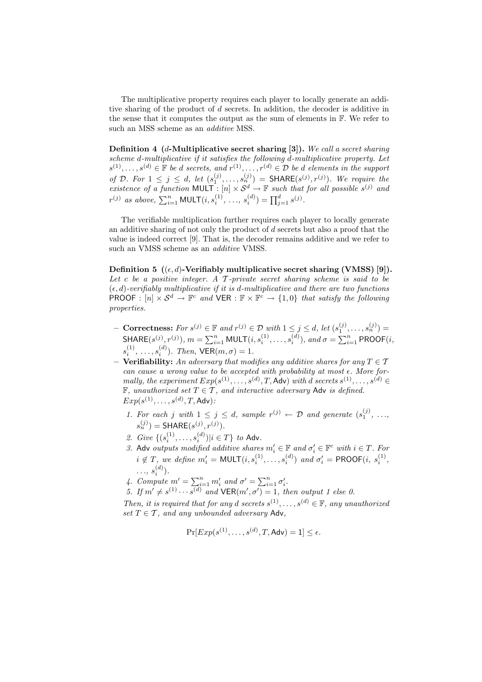The multiplicative property requires each player to locally generate an additive sharing of the product of *d* secrets. In addition, the decoder is additive in the sense that it computes the output as the sum of elements in F. We refer to such an MSS scheme as an *additive* MSS.

**Definition 4 (***d***-Multiplicative secret sharing [3]).** *We call a secret sharing scheme d-multiplicative if it satisfies the following d-multiplicative property. Let*  $s^{(1)}, \ldots, s^{(d)} \in \mathbb{F}$  *be d secrets, and*  $r^{(1)}, \ldots, r^{(d)} \in \mathcal{D}$  *be d elements in the support of D. For*  $1 \leq j \leq d$ , let  $(s_1^{(j)}, \ldots, s_n^{(j)}) = \textsf{SHARE}(s^{(j)}, r^{(j)})$ *. We require the existence of a function* MULT :  $[n] \times S^d \rightarrow \mathbb{F}$  *such that for all possible*  $s^{(j)}$  *and*  $r^{(j)}$  *as above*,  $\sum_{i=1}^{n} \text{MULT}(i, s_i^{(1)}, \ldots, s_i^{(d)}) = \prod_{j=1}^{d} s^{(j)}$ .

The verifiable multiplication further requires each player to locally generate an additive sharing of not only the product of *d* secrets but also a proof that the value is indeed correct [9]. That is, the decoder remains additive and we refer to such an VMSS scheme as an *additive* VMSS.

**Definition 5**  $((\epsilon, d)$ -Verifiably multiplicative secret sharing (VMSS) [9]). *Let c be a positive integer. A T -private secret sharing scheme is said to be* (*ϵ, d*)*-verifiably multiplicative if it is d-multiplicative and there are two functions*  $PROOF: [n] \times S^d \to \mathbb{F}^c$  and  $VER: \mathbb{F} \times \mathbb{F}^c \to \{1,0\}$  that satisfy the following *properties.*

- **Correctness:** For  $s^{(j)} \in \mathbb{F}$  and  $r^{(j)} \in \mathcal{D}$  with  $1 \leq j \leq d$ , let  $(s_1^{(j)}, \ldots, s_n^{(j)}) =$ SHARE $(s^{(j)}, r^{(j)}), m = \sum_{i=1}^{n} \text{MULT}(i, s_i^{(1)}, \dots, s_i^{(d)}), \text{ and } \sigma = \sum_{i=1}^{n} \text{PROOF}(i, s_i^{(1)}, \dots, s_i^{(d)}))$  $s_i^{(1)}, \ldots, s_i^{(d)}$ ). Then,  $\mathsf{VER}(m, \sigma) = 1$ .
- $\overline{\mathcal{F}}$  **– Verifiability:** An adversary that modifies any additive shares for any  $T \in \mathcal{T}$ *can cause a wrong value to be accepted with probability at most ϵ. More formally, the experiment*  $Exp(s^{(1)}, \ldots, s^{(d)}, T, \text{Adv})$  *with d secrets*  $s^{(1)}, \ldots, s^{(d)} \in$ F*, unauthorized set T ∈ T , and interactive adversary* Adv *is defined.*  $Exp(s^{(1)}, \ldots, s^{(d)}, T, \mathsf{Adv})$ 
	- 1. For each *j* with  $1 \leq j \leq d$ , sample  $r^{(j)} \leftarrow \mathcal{D}$  and generate  $(s_1^{(j)}, \ldots,$  $s_n^{(j)}$ ) = **SHARE** $(s^{(j)}, r^{(j)})$ .
	- 2. *Give*  $\{(s_i^{(1)}, \ldots, s_i^{(d)}) | i \in T\}$  *to* Adv.
	- *3.* Adv *outputs modified additive shares*  $m'_i \in \mathbb{F}$  *and*  $\sigma'_i \in \mathbb{F}^c$  *with*  $i \in T$ *. For*  $i \notin T$ , we define  $m'_i = \text{MULT}(i, s_i^{(1)}, \ldots, s_i^{(d)})$  and  $\sigma'_i = \text{PROOF}(i, s_i^{(1)},$  $\ldots, s_i^{(d)}$ .
	- *4. Compute*  $m' = \sum_{i=1}^{n} m'_i$  and  $\sigma' = \sum_{i=1}^{n} \sigma'_i$ .
	- *5. If*  $m' \neq s^{(1)} \cdots s^{(d)}$  and  $\text{VER}(m', \sigma') = 1$ , then output 1 else 0.

*Then, it is required that for any <i>d secrets*  $s^{(1)}, \ldots, s^{(d)} \in \mathbb{F}$ *, any unauthorized set*  $T \in \mathcal{T}$ *, and any unbounded adversary* Adv*,* 

$$
\Pr[Exp(s^{(1)},\ldots,s^{(d)},T,\mathsf{Adv})=1] \leq \epsilon.
$$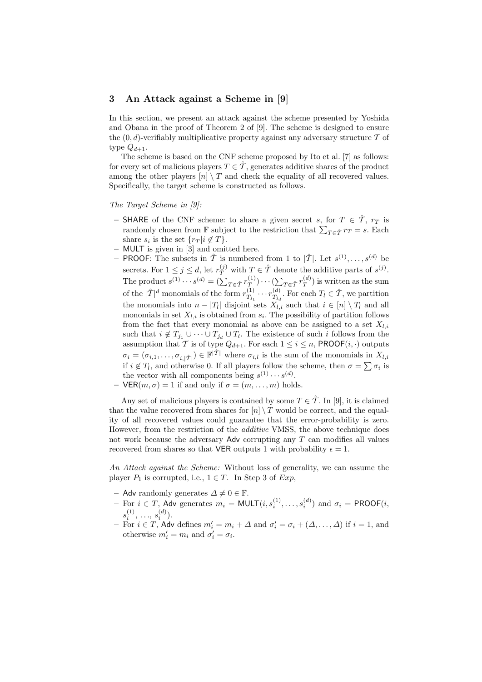#### **3 An Attack against a Scheme in [9]**

In this section, we present an attack against the scheme presented by Yoshida and Obana in the proof of Theorem 2 of [9]. The scheme is designed to ensure the  $(0, d)$ -verifiably multiplicative property against any adversary structure  $\mathcal T$  of type  $Q_{d+1}$ .

The scheme is based on the CNF scheme proposed by Ito et al. [7] as follows: for every set of malicious players  $T \in \hat{\mathcal{T}}$ , generates additive shares of the product among the other players  $[n] \setminus T$  and check the equality of all recovered values. Specifically, the target scheme is constructed as follows.

*The Target Scheme in [9]:*

- $-$  **SHARE** of the CNF scheme: to share a given secret *s*, for  $T \in \hat{\mathcal{T}}$ ,  $r_T$  is randomly chosen from  $\mathbb{F}$  subject to the restriction that  $\sum_{T \in \hat{\mathcal{T}}} r_T = s$ . Each share  $s_i$  is the set  $\{r_T | i \notin T\}$ .
- **–** MULT is given in [3] and omitted here.
- $-$  **PROOF**: The subsets in  $\hat{\mathcal{T}}$  is numbered from 1 to  $|\hat{\mathcal{T}}|$ . Let  $s^{(1)}, \ldots, s^{(d)}$  be secrets. For  $1 \leq j \leq d$ , let  $r_T^{(j)}$  with  $T \in \hat{T}$  denote the additive parts of  $s^{(j)}$ . The product  $s^{(1)} \cdots s^{(d)} = (\sum_{T \in \hat{\mathcal{T}}} r_{\overline{T}}^{(1)}$  $\binom{(1)}{T}$ <sup>*·*</sup> · · ·  $\left(\sum_{P \in \hat{T}} r^{(d)}_T\right)$  $T(T^{(u)})$  is written as the sum of the  $|\hat{\mathcal{T}}|^d$  monomials of the form  $r_{\mathcal{T}_{\alpha}}^{(1)}$  $r^{(1)}_{T_{j_1}} \cdots r^{(d)}_{T_{j_d}}$  $T_{T_{j_d}}^{(d)}$ . For each  $T_l \in \hat{\mathcal{T}}$ , we partition the monomials into  $n - |T_l|$  disjoint sets  $X_{l,i}$  such that  $i \in [n] \setminus T_l$  and all monomials in set  $X_{l,i}$  is obtained from  $s_i$ . The possibility of partition follows from the fact that every monomial as above can be assigned to a set  $X_{l,i}$ such that  $i \notin T_{j_1} \cup \cdots \cup T_{j_d} \cup T_l$ . The existence of such *i* follows from the assumption that *T* is of type  $Q_{d+1}$ . For each  $1 \leq i \leq n$ , PROOF $(i, \cdot)$  outputs  $\sigma_i = (\sigma_{i,1}, \ldots, \sigma_{i,|\hat{\mathcal{T}}|}) \in \mathbb{F}^{|\hat{\mathcal{T}}|}$  where  $\sigma_{i,l}$  is the sum of the monomials in  $X_{l,i}$ if  $i \notin T_l$ , and otherwise 0. If all players follow the scheme, then  $\sigma = \sum \sigma_i$  is the vector with all components being  $s^{(1)} \cdots s^{(d)}$ .

- 
$$
\text{VER}(m, \sigma) = 1
$$
 if and only if  $\sigma = (m, \ldots, m)$  holds.

Any set of malicious players is contained by some  $T \in \hat{\mathcal{T}}$ . In [9], it is claimed that the value recovered from shares for  $[n] \setminus T$  would be correct, and the equality of all recovered values could guarantee that the error-probability is zero. However, from the restriction of the *additive* VMSS, the above technique does not work because the adversary Adv corrupting any *T* can modifies all values recovered from shares so that **VER** outputs 1 with probability  $\epsilon = 1$ .

*An Attack against the Scheme:* Without loss of generality, we can assume the player  $P_1$  is corrupted, i.e.,  $1 \in T$ . In Step 3 of  $Exp$ ,

- $-$  Adv randomly generates  $\Delta \neq 0 \in \mathbb{F}$ .
- $−$  For *i* ∈ *T*, Adv generates  $m_i$  = MULT $(i, s_i^{(1)}, \ldots, s_i^{(d)})$  and  $\sigma_i$  = PROOF $(i, s_i^{(1)}, \ldots, s_i^{(d)})$  $s_i^{(1)}, \ldots, s_i^{(d)}$ .
- **–** For *i ∈ T*, Adv defines *m′ <sup>i</sup>* = *m<sup>i</sup>* + *∆* and *σ ′ <sup>i</sup>* = *σ<sup>i</sup>* + (*∆, . . . , ∆*) if *i* = 1, and otherwise  $m'_i = m_i$  and  $\sigma'_i = \sigma_i$ .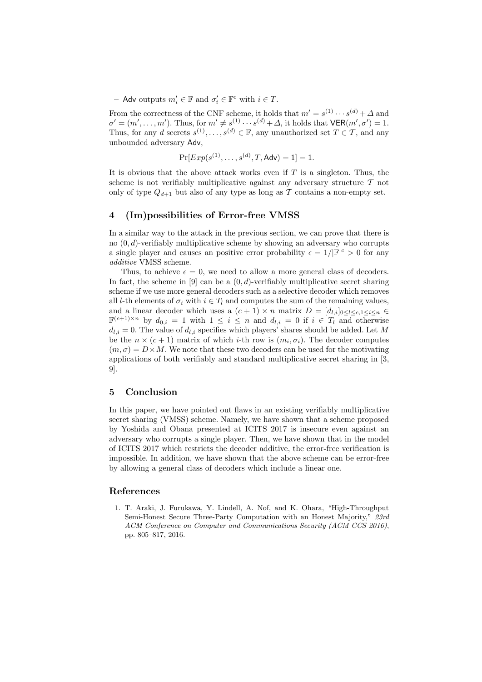$-$  Adv outputs  $m'_i$  ∈ **F** and  $\sigma'_i$  ∈ **F**<sup>*c*</sup> with *i* ∈ *T*.

From the correctness of the CNF scheme, it holds that  $m' = s^{(1)} \cdots s^{(d)} + \Delta$  and  $\sigma' = (m', \ldots, m')$ . Thus, for  $m' \neq s^{(1)} \cdots s^{(d)} + \Delta$ , it holds that  $\mathsf{VER}(m', \sigma') = 1$ . Thus, for any *d* secrets  $s^{(1)}, \ldots, s^{(d)} \in \mathbb{F}$ , any unauthorized set  $T \in \mathcal{T}$ , and any unbounded adversary Adv,

$$
Pr[Exp(s^{(1)},...,s^{(d)},T,\mathsf{Adv})=1]=1.
$$

It is obvious that the above attack works even if *T* is a singleton. Thus, the scheme is not verifiably multiplicative against any adversary structure *T* not only of type  $Q_{d+1}$  but also of any type as long as  $\mathcal T$  contains a non-empty set.

#### **4 (Im)possibilities of Error-free VMSS**

In a similar way to the attack in the previous section, we can prove that there is no (0*, d*)-verifiably multiplicative scheme by showing an adversary who corrupts a single player and causes an positive error probability  $\epsilon = 1/|\mathbb{F}|^c > 0$  for any *additive* VMSS scheme.

Thus, to achieve  $\epsilon = 0$ , we need to allow a more general class of decoders. In fact, the scheme in [9] can be a  $(0, d)$ -verifiably multiplicative secret sharing scheme if we use more general decoders such as a selective decoder which removes all *l*-th elements of  $\sigma_i$  with  $i \in T_l$  and computes the sum of the remaining values, and a linear decoder which uses a  $(c + 1) \times n$  matrix  $D = [d_{l,i}]_{0 \leq l \leq c, 1 \leq i \leq n}$  $\mathbb{F}^{(c+1)\times n}$  by  $d_{0,i} = 1$  with  $1 \leq i \leq n$  and  $d_{l,i} = 0$  if  $i \in T_l$  and otherwise  $d_{l,i} = 0$ . The value of  $d_{l,i}$  specifies which players' shares should be added. Let M be the  $n \times (c+1)$  matrix of which *i*-th row is  $(m_i, \sigma_i)$ . The decoder computes  $(m, \sigma) = D \times M$ . We note that these two decoders can be used for the motivating applications of both verifiably and standard multiplicative secret sharing in [3, 9].

### **5 Conclusion**

In this paper, we have pointed out flaws in an existing verifiably multiplicative secret sharing (VMSS) scheme. Namely, we have shown that a scheme proposed by Yoshida and Obana presented at ICITS 2017 is insecure even against an adversary who corrupts a single player. Then, we have shown that in the model of ICITS 2017 which restricts the decoder additive, the error-free verification is impossible. In addition, we have shown that the above scheme can be error-free by allowing a general class of decoders which include a linear one.

## **References**

1. T. Araki, J. Furukawa, Y. Lindell, A. Nof, and K. Ohara, "High-Throughput Semi-Honest Secure Three-Party Computation with an Honest Majority," *23rd ACM Conference on Computer and Communications Security (ACM CCS 2016)*, pp. 805–817, 2016.